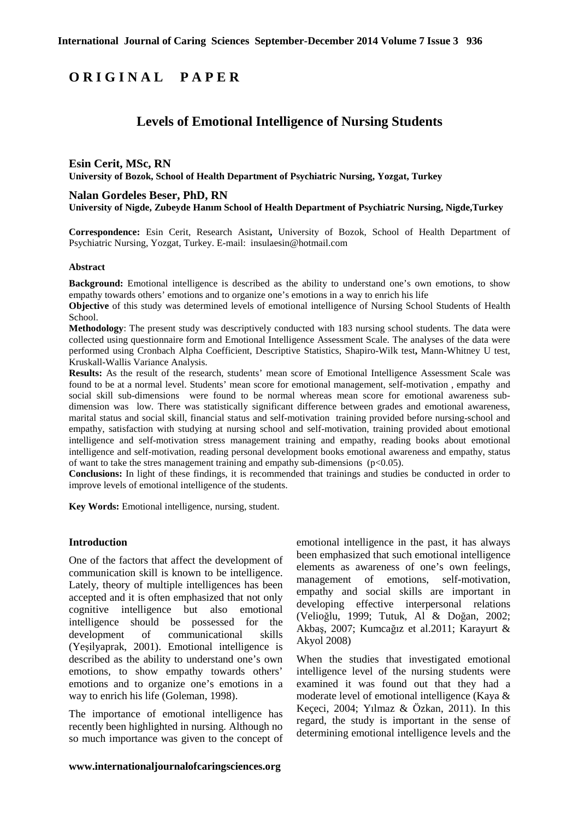# **O R I G I N A L P A P E R**

# **Levels of Emotional Intelligence of Nursing Students**

# **Esin Cerit, MSc, RN University of Bozok, School of Health Department of Psychiatric Nursing, Yozgat, Turkey**

#### **Nalan Gordeles Beser, PhD, RN**

**University of Nigde, Zubeyde Hanım School of Health Department of Psychiatric Nursing, Nigde,Turkey** 

**Correspondence:** Esin Cerit, Research Asistant**,** University of Bozok, School of Health Department of Psychiatric Nursing, Yozgat, Turkey. E-mail: insulaesin@hotmail.com

#### **Abstract**

**Background:** Emotional intelligence is described as the ability to understand one's own emotions, to show empathy towards others' emotions and to organize one's emotions in a way to enrich his life

**Objective** of this study was determined levels of emotional intelligence of Nursing School Students of Health School.

**Methodology**: The present study was descriptively conducted with 183 nursing school students. The data were collected using questionnaire form and Emotional Intelligence Assessment Scale. The analyses of the data were performed using Cronbach Alpha Coefficient, Descriptive Statistics, Shapiro-Wilk test**,** Mann-Whitney U test, Kruskall-Wallis Variance Analysis.

**Results:** As the result of the research, students' mean score of Emotional Intelligence Assessment Scale was found to be at a normal level. Students' mean score for emotional management, self-motivation , empathy and social skill sub-dimensions were found to be normal whereas mean score for emotional awareness subdimension was low. There was statistically significant difference between grades and emotional awareness, marital status and social skill, financial status and self-motivation training provided before nursing-school and empathy, satisfaction with studying at nursing school and self-motivation, training provided about emotional intelligence and self-motivation stress management training and empathy, reading books about emotional intelligence and self-motivation, reading personal development books emotional awareness and empathy, status of want to take the stres management training and empathy sub-dimensions ( $p<0.05$ ).

**Conclusions:** In light of these findings, it is recommended that trainings and studies be conducted in order to improve levels of emotional intelligence of the students.

**Key Words:** Emotional intelligence, nursing, student.

### **Introduction**

One of the factors that affect the development of communication skill is known to be intelligence. Lately, theory of multiple intelligences has been accepted and it is often emphasized that not only cognitive intelligence but also emotional intelligence should be possessed for the development of communicational skills (Yeşilyaprak, 2001). Emotional intelligence is described as the ability to understand one's own emotions, to show empathy towards others' emotions and to organize one's emotions in a way to enrich his life (Goleman, 1998).

The importance of emotional intelligence has recently been highlighted in nursing. Although no so much importance was given to the concept of

emotional intelligence in the past, it has always been emphasized that such emotional intelligence elements as awareness of one's own feelings, management of emotions, self-motivation, empathy and social skills are important in developing effective interpersonal relations (Velioğlu, 1999; Tutuk, Al & Doğan, 2002; Akbaş, 2007; Kumcağız et al.2011; Karayurt & Akyol 2008)

When the studies that investigated emotional intelligence level of the nursing students were examined it was found out that they had a moderate level of emotional intelligence (Kaya & Keçeci, 2004; Yılmaz & Özkan, 2011). In this regard, the study is important in the sense of determining emotional intelligence levels and the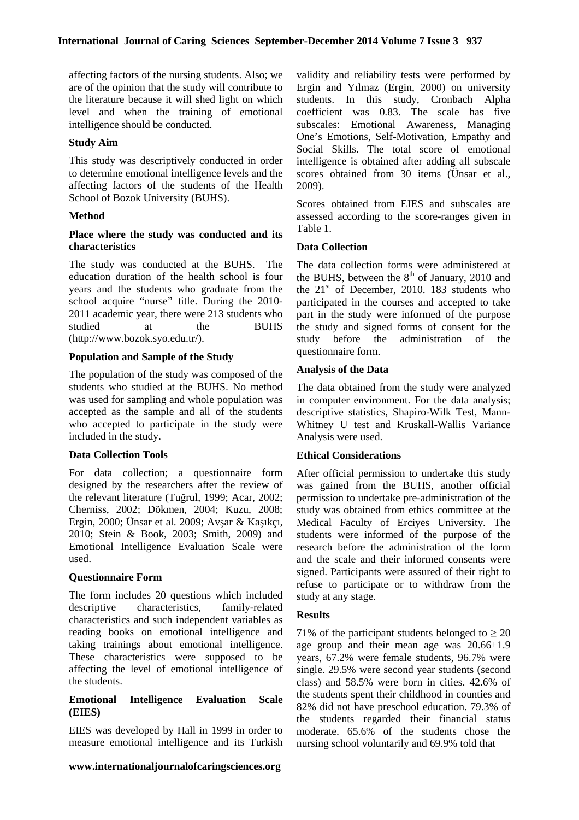affecting factors of the nursing students. Also; we are of the opinion that the study will contribute to the literature because it will shed light on which level and when the training of emotional intelligence should be conducted.

### **Study Aim**

This study was descriptively conducted in order to determine emotional intelligence levels and the affecting factors of the students of the Health School of Bozok University (BUHS).

# **Method**

# **Place where the study was conducted and its characteristics**

The study was conducted at the BUHS. The education duration of the health school is four years and the students who graduate from the school acquire "nurse" title. During the 2010- 2011 academic year, there were 213 students who studied at the BUHS (http://www.bozok.syo.edu.tr/).

#### **Population and Sample of the Study**

The population of the study was composed of the students who studied at the BUHS. No method was used for sampling and whole population was accepted as the sample and all of the students who accepted to participate in the study were included in the study.

#### **Data Collection Tools**

For data collection; a questionnaire form designed by the researchers after the review of the relevant literature (Tuğrul, 1999; Acar, 2002; Cherniss, 2002; Dökmen, 2004; Kuzu, 2008; Ergin, 2000; Ünsar et al. 2009; Avşar & Kaşıkçı, 2010; Stein & Book, 2003; Smith, 2009) and Emotional Intelligence Evaluation Scale were used.

# **Questionnaire Form**

The form includes 20 questions which included descriptive characteristics, family-related characteristics and such independent variables as reading books on emotional intelligence and taking trainings about emotional intelligence. These characteristics were supposed to be affecting the level of emotional intelligence of the students.

#### **Emotional Intelligence Evaluation Scale (EIES)**

EIES was developed by Hall in 1999 in order to measure emotional intelligence and its Turkish

validity and reliability tests were performed by Ergin and Yılmaz (Ergin, 2000) on university students. In this study, Cronbach Alpha coefficient was 0.83. The scale has five subscales: Emotional Awareness, Managing One's Emotions, Self-Motivation, Empathy and Social Skills. The total score of emotional intelligence is obtained after adding all subscale scores obtained from 30 items (Ünsar et al., 2009).

Scores obtained from EIES and subscales are assessed according to the score-ranges given in Table 1.

#### **Data Collection**

The data collection forms were administered at the BUHS, between the  $8<sup>th</sup>$  of January, 2010 and the  $21<sup>st</sup>$  of December, 2010. 183 students who participated in the courses and accepted to take part in the study were informed of the purpose the study and signed forms of consent for the study before the administration of the questionnaire form.

#### **Analysis of the Data**

The data obtained from the study were analyzed in computer environment. For the data analysis; descriptive statistics, Shapiro-Wilk Test, Mann-Whitney U test and Kruskall-Wallis Variance Analysis were used.

#### **Ethical Considerations**

After official permission to undertake this study was gained from the BUHS, another official permission to undertake pre-administration of the study was obtained from ethics committee at the Medical Faculty of Erciyes University. The students were informed of the purpose of the research before the administration of the form and the scale and their informed consents were signed. Participants were assured of their right to refuse to participate or to withdraw from the study at any stage.

### **Results**

71% of the participant students belonged to  $\geq 20$ age group and their mean age was  $20.66 \pm 1.9$ years, 67.2% were female students, 96.7% were single. 29.5% were second year students (second class) and 58.5% were born in cities. 42.6% of the students spent their childhood in counties and 82% did not have preschool education. 79.3% of the students regarded their financial status moderate. 65.6% of the students chose the nursing school voluntarily and 69.9% told that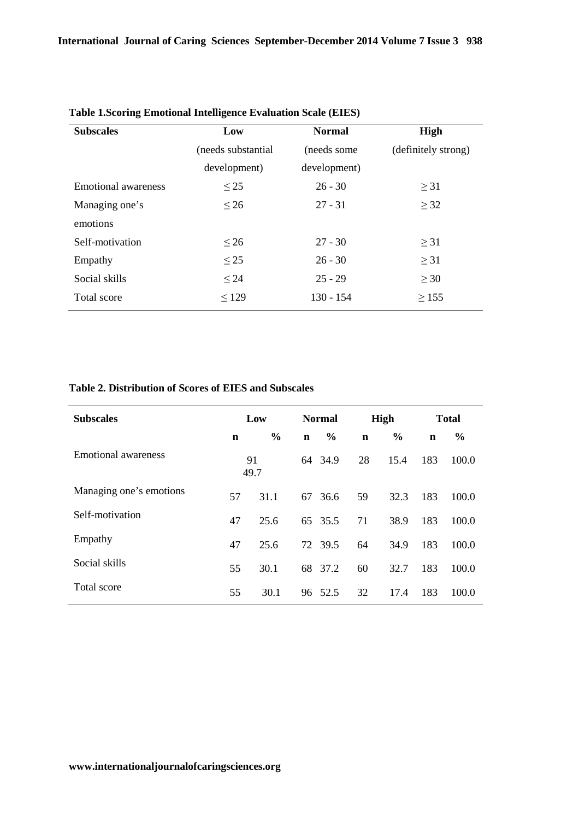| <b>Subscales</b>    | Low                | <b>Normal</b> | High                |
|---------------------|--------------------|---------------|---------------------|
|                     | (needs substantial | (needs some)  | (definitely strong) |
|                     | development)       | development)  |                     |
| Emotional awareness | $\leq$ 25          | $26 - 30$     | $\geq$ 31           |
| Managing one's      | $\leq 26$          | $27 - 31$     | $\geq$ 32           |
| emotions            |                    |               |                     |
| Self-motivation     | $\leq 26$          | $27 - 30$     | $\geq$ 31           |
| Empathy             | $\leq$ 25          | $26 - 30$     | $\geq$ 31           |
| Social skills       | $\leq 24$          | $25 - 29$     | $\geq 30$           |
| Total score         | $\leq$ 129         | $130 - 154$   | $\geq$ 155          |

# **Table 1.Scoring Emotional Intelligence Evaluation Scale (EIES)**

#### **Table 2. Distribution of Scores of EIES and Subscales**

| <b>Subscales</b>        | Low |               | <b>Normal</b> |         | High        |               | <b>Total</b> |       |
|-------------------------|-----|---------------|---------------|---------|-------------|---------------|--------------|-------|
|                         | n   | $\frac{0}{0}$ | $\mathbf n$   | $\%$    | $\mathbf n$ | $\frac{0}{0}$ | $\mathbf n$  | $\%$  |
| Emotional awareness     |     | 91<br>49.7    |               | 64 34.9 | 28          | 15.4          | 183          | 100.0 |
| Managing one's emotions | 57  | 31.1          | 67            | 36.6    | 59          | 32.3          | 183          | 100.0 |
| Self-motivation         | 47  | 25.6          |               | 65 35.5 | 71          | 38.9          | 183          | 100.0 |
| Empathy                 | 47  | 25.6          |               | 72 39.5 | 64          | 34.9          | 183          | 100.0 |
| Social skills           | 55  | 30.1          |               | 68 37.2 | 60          | 32.7          | 183          | 100.0 |
| Total score             | 55  | 30.1          | 96            | 52.5    | 32          | 17.4          | 183          | 100.0 |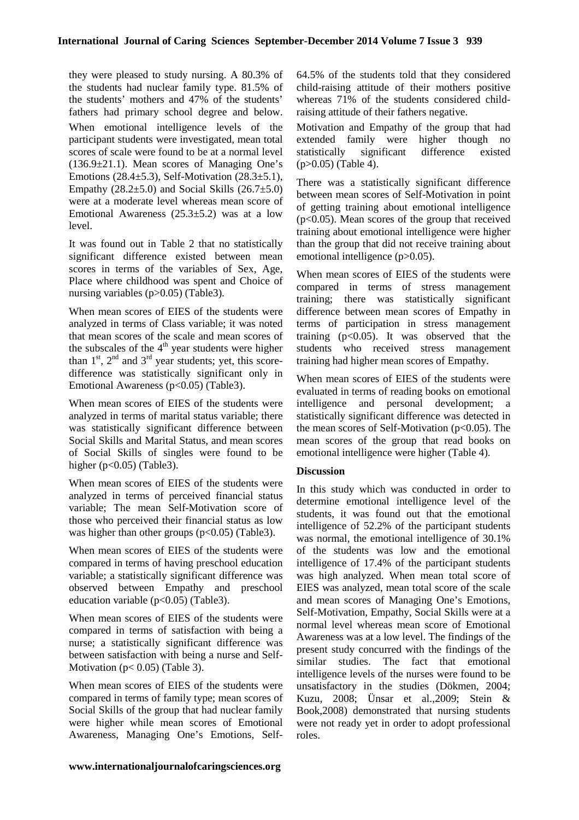they were pleased to study nursing. A 80.3% of the students had nuclear family type. 81.5% of the students' mothers and 47% of the students' fathers had primary school degree and below. When emotional intelligence levels of the participant students were investigated, mean total scores of scale were found to be at a normal level  $(136.9\pm21.1)$ . Mean scores of Managing One's Emotions  $(28.4\pm5.3)$ , Self-Motivation  $(28.3\pm5.1)$ , Empathy  $(28.2\pm5.0)$  and Social Skills  $(26.7\pm5.0)$ were at a moderate level whereas mean score of Emotional Awareness  $(25.3 \pm 5.2)$  was at a low level.

It was found out in Table 2 that no statistically significant difference existed between mean scores in terms of the variables of Sex, Age, Place where childhood was spent and Choice of nursing variables (p>0.05) (Table3).

When mean scores of EIES of the students were analyzed in terms of Class variable; it was noted that mean scores of the scale and mean scores of the subscales of the  $4<sup>th</sup>$  year students were higher than  $1<sup>st</sup>$ ,  $2<sup>nd</sup>$  and  $3<sup>rd</sup>$  year students; yet, this scoredifference was statistically significant only in Emotional Awareness (p<0.05) (Table3).

When mean scores of EIES of the students were analyzed in terms of marital status variable; there was statistically significant difference between Social Skills and Marital Status, and mean scores of Social Skills of singles were found to be higher ( $p<0.05$ ) (Table3).

When mean scores of EIES of the students were analyzed in terms of perceived financial status variable; The mean Self-Motivation score of those who perceived their financial status as low was higher than other groups  $(p<0.05)$  (Table3).

When mean scores of EIES of the students were compared in terms of having preschool education variable; a statistically significant difference was observed between Empathy and preschool education variable (p<0.05) (Table3).

When mean scores of EIES of the students were compared in terms of satisfaction with being a nurse; a statistically significant difference was between satisfaction with being a nurse and Self-Motivation ( $p < 0.05$ ) (Table 3).

When mean scores of EIES of the students were compared in terms of family type; mean scores of Social Skills of the group that had nuclear family were higher while mean scores of Emotional Awareness, Managing One's Emotions, Self64.5% of the students told that they considered child-raising attitude of their mothers positive whereas 71% of the students considered childraising attitude of their fathers negative.

Motivation and Empathy of the group that had extended family were higher though no statistically significant difference existed  $(p>0.05)$  (Table 4).

There was a statistically significant difference between mean scores of Self-Motivation in point of getting training about emotional intelligence  $(p<0.05)$ . Mean scores of the group that received training about emotional intelligence were higher than the group that did not receive training about emotional intelligence (p>0.05).

When mean scores of EIES of the students were compared in terms of stress management training; there was statistically significant difference between mean scores of Empathy in terms of participation in stress management training  $(p<0.05)$ . It was observed that the students who received stress management training had higher mean scores of Empathy.

When mean scores of EIES of the students were evaluated in terms of reading books on emotional intelligence and personal development; a statistically significant difference was detected in the mean scores of Self-Motivation ( $p<0.05$ ). The mean scores of the group that read books on emotional intelligence were higher (Table 4).

# **Discussion**

In this study which was conducted in order to determine emotional intelligence level of the students, it was found out that the emotional intelligence of 52.2% of the participant students was normal, the emotional intelligence of 30.1% of the students was low and the emotional intelligence of 17.4% of the participant students was high analyzed. When mean total score of EIES was analyzed, mean total score of the scale and mean scores of Managing One's Emotions, Self-Motivation, Empathy, Social Skills were at a normal level whereas mean score of Emotional Awareness was at a low level. The findings of the present study concurred with the findings of the similar studies. The fact that emotional intelligence levels of the nurses were found to be unsatisfactory in the studies (Dökmen, 2004; Kuzu, 2008; Ünsar et al.,2009; Stein & Book,2008) demonstrated that nursing students were not ready yet in order to adopt professional roles.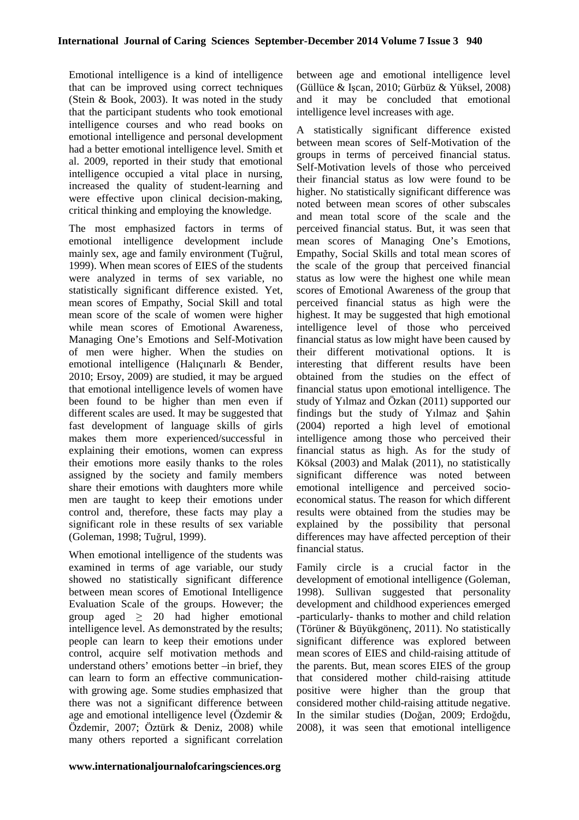Emotional intelligence is a kind of intelligence that can be improved using correct techniques (Stein & Book, 2003). It was noted in the study that the participant students who took emotional intelligence courses and who read books on emotional intelligence and personal development had a better emotional intelligence level. Smith et al. 2009, reported in their study that emotional intelligence occupied a vital place in nursing, increased the quality of student-learning and were effective upon clinical decision-making, critical thinking and employing the knowledge.

The most emphasized factors in terms of emotional intelligence development include mainly sex, age and family environment (Tuğrul, 1999). When mean scores of EIES of the students were analyzed in terms of sex variable, no statistically significant difference existed. Yet, mean scores of Empathy, Social Skill and total mean score of the scale of women were higher while mean scores of Emotional Awareness, Managing One's Emotions and Self-Motivation of men were higher. When the studies on emotional intelligence (Halıçınarlı & Bender, 2010; Ersoy, 2009) are studied, it may be argued that emotional intelligence levels of women have been found to be higher than men even if different scales are used. It may be suggested that fast development of language skills of girls makes them more experienced/successful in explaining their emotions, women can express their emotions more easily thanks to the roles assigned by the society and family members share their emotions with daughters more while men are taught to keep their emotions under control and, therefore, these facts may play a significant role in these results of sex variable (Goleman, 1998; Tuğrul, 1999).

When emotional intelligence of the students was examined in terms of age variable, our study showed no statistically significant difference between mean scores of Emotional Intelligence Evaluation Scale of the groups. However; the group aged  $\geq$  20 had higher emotional intelligence level. As demonstrated by the results; people can learn to keep their emotions under control, acquire self motivation methods and understand others' emotions better –in brief, they can learn to form an effective communicationwith growing age. Some studies emphasized that there was not a significant difference between age and emotional intelligence level (Özdemir & Özdemir, 2007; Öztürk & Deniz, 2008) while many others reported a significant correlation between age and emotional intelligence level (Güllüce & Işcan, 2010; Gürbüz & Yüksel, 2008) and it may be concluded that emotional intelligence level increases with age.

A statistically significant difference existed between mean scores of Self-Motivation of the groups in terms of perceived financial status. Self-Motivation levels of those who perceived their financial status as low were found to be higher. No statistically significant difference was noted between mean scores of other subscales and mean total score of the scale and the perceived financial status. But, it was seen that mean scores of Managing One's Emotions, Empathy, Social Skills and total mean scores of the scale of the group that perceived financial status as low were the highest one while mean scores of Emotional Awareness of the group that perceived financial status as high were the highest. It may be suggested that high emotional intelligence level of those who perceived financial status as low might have been caused by their different motivational options. It is interesting that different results have been obtained from the studies on the effect of financial status upon emotional intelligence. The study of Yılmaz and Özkan (2011) supported our findings but the study of Yılmaz and Şahin (2004) reported a high level of emotional intelligence among those who perceived their financial status as high. As for the study of Köksal (2003) and Malak (2011), no statistically significant difference was noted between emotional intelligence and perceived socioeconomical status. The reason for which different results were obtained from the studies may be explained by the possibility that personal differences may have affected perception of their financial status.

Family circle is a crucial factor in the development of emotional intelligence (Goleman, 1998). Sullivan suggested that personality development and childhood experiences emerged -particularly- thanks to mother and child relation (Törüner & Büyükgönenç, 2011). No statistically significant difference was explored between mean scores of EIES and child-raising attitude of the parents. But, mean scores EIES of the group that considered mother child-raising attitude positive were higher than the group that considered mother child-raising attitude negative. In the similar studies (Doğan, 2009; Erdoğdu, 2008), it was seen that emotional intelligence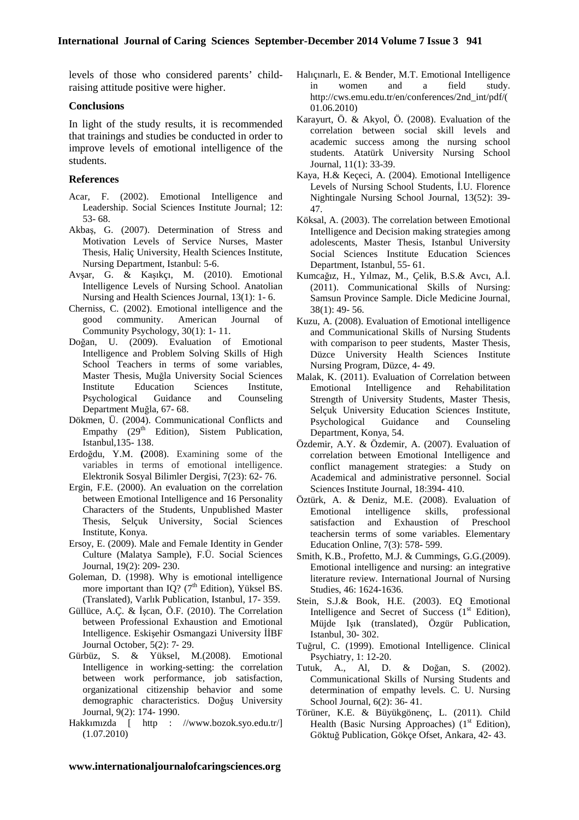levels of those who considered parents' childraising attitude positive were higher.

#### **Conclusions**

In light of the study results, it is recommended that trainings and studies be conducted in order to improve levels of emotional intelligence of the students.

#### **References**

- Acar, F. (2002). Emotional Intelligence and Leadership. Social Sciences Institute Journal; 12: 53- 68.
- Akbaş, G. (2007). Determination of Stress and Motivation Levels of Service Nurses, Master Thesis, Haliç University, Health Sciences Institute, Nursing Department, Istanbul: 5-6.
- Avşar, G. & Kaşıkçı, M. (2010). Emotional Intelligence Levels of Nursing School. Anatolian Nursing and Health Sciences Journal, 13(1): 1- 6.
- Cherniss, C. (2002). Emotional intelligence and the good community. American Journal of Community Psychology, 30(1): 1- 11.
- Doğan, U. (2009). Evaluation of Emotional Intelligence and Problem Solving Skills of High School Teachers in terms of some variables, Master Thesis, Muğla University Social Sciences Institute Education Sciences Institute, Psychological Guidance and Counseling Department Muğla, 67- 68.
- Dökmen, Ü. (2004). Communicational Conflicts and Empathy  $(29<sup>th</sup> Edition)$ , Sistem Publication, Istanbul,135- 138.
- Erdoğdu, Y.M. **(**2008). Examining some of the variables in terms of emotional intelligence. Elektronik Sosyal Bilimler Dergisi, 7(23): 62- 76.
- Ergin, F.E. (2000). An evaluation on the correlation between Emotional Intelligence and 16 Personality Characters of the Students, Unpublished Master Thesis, Selçuk University, Social Sciences Institute, Konya.
- Ersoy, E. (2009). Male and Female Identity in Gender Culture (Malatya Sample), F.Ü. Social Sciences Journal, 19(2): 209- 230.
- Goleman, D. (1998). Why is emotional intelligence more important than IQ?  $(7<sup>th</sup> Edition)$ , Yüksel BS. (Translated), Varlık Publication, Istanbul, 17- 359.
- Güllüce, A.Ç. & İşcan, Ö.F. (2010). The Correlation between Professional Exhaustion and Emotional Intelligence. Eskişehir Osmangazi University İİBF Journal October, 5(2): 7‐ 29.
- Gürbüz, S. & Yüksel, M.(2008). Emotional Intelligence in working-setting: the correlation between work performance, job satisfaction, organizational citizenship behavior and some demographic characteristics. Doğuş University Journal, 9(2): 174- 1990.
- Hakkımızda [ http : //www.bozok.syo.edu.tr/] (1.07.2010)
- Halıçınarlı, E. & Bender, M.T. Emotional Intelligence in women and a field study. http://cws.emu.edu.tr/en/conferences/2nd\_int/pdf/( 01.06.2010)
- Karayurt, Ö. & Akyol, Ö. (2008). Evaluation of the correlation between social skill levels and academic success among the nursing school students. Atatürk University Nursing School Journal, 11(1): 33-39.
- Kaya, H.& Keçeci, A. (2004). Emotional Intelligence Levels of Nursing School Students, İ.U. Florence Nightingale Nursing School Journal, 13(52): 39- 47.
- Köksal, A. (2003). The correlation between Emotional Intelligence and Decision making strategies among adolescents, Master Thesis, Istanbul University Social Sciences Institute Education Sciences Department, Istanbul, 55- 61.
- Kumcağız, H., Yılmaz, M., Çelik, B.S.& Avcı, A.İ. (2011). Communicational Skills of Nursing: Samsun Province Sample. Dicle Medicine Journal, 38(1): 49- 56.
- Kuzu, A. (2008). Evaluation of Emotional intelligence and Communicational Skills of Nursing Students with comparison to peer students, Master Thesis, Düzce University Health Sciences Institute Nursing Program, Düzce, 4- 49.
- Malak, K. (2011). Evaluation of Correlation between Emotional Intelligence and Rehabilitation Strength of University Students, Master Thesis, Selçuk University Education Sciences Institute, Psychological Guidance and Counseling Department, Konya, 54.
- Özdemir, A.Y. & Özdemir, A. (2007). Evaluation of correlation between Emotional Intelligence and conflict management strategies: a Study on Academical and administrative personnel. Social Sciences Institute Journal, 18:394- 410.
- Öztürk, A. & Deniz, M.E. (2008). Evaluation of Emotional intelligence skills, professional satisfaction and Exhaustion of Preschool teachersin terms of some variables. Elementary Education Online, 7(3): 578- 599.
- Smith, K.B., Profetto, M.J. & Cummings, G.G.(2009). Emotional intelligence and nursing: an integrative literature review. International Journal of Nursing Studies, 46: 1624-1636.
- Stein, S.J.& Book, H.E. (2003). EQ Emotional Intelligence and Secret of Success  $(1<sup>st</sup> Edition)$ , Müjde Işık (translated), Özgür Publication, Istanbul, 30- 302.
- Tuğrul, C. (1999). Emotional Intelligence. Clinical Psychiatry, 1: 12-20.
- Tutuk, A., Al, D. & Doğan, S. (2002). Communicational Skills of Nursing Students and determination of empathy levels. C. U. Nursing School Journal, 6(2): 36- 41.
- Törüner, K.E. & Büyükgönenç, L. (2011). Child Health (Basic Nursing Approaches)  $(1<sup>st</sup> Edition)$ , Göktuğ Publication, Gökçe Ofset, Ankara, 42- 43.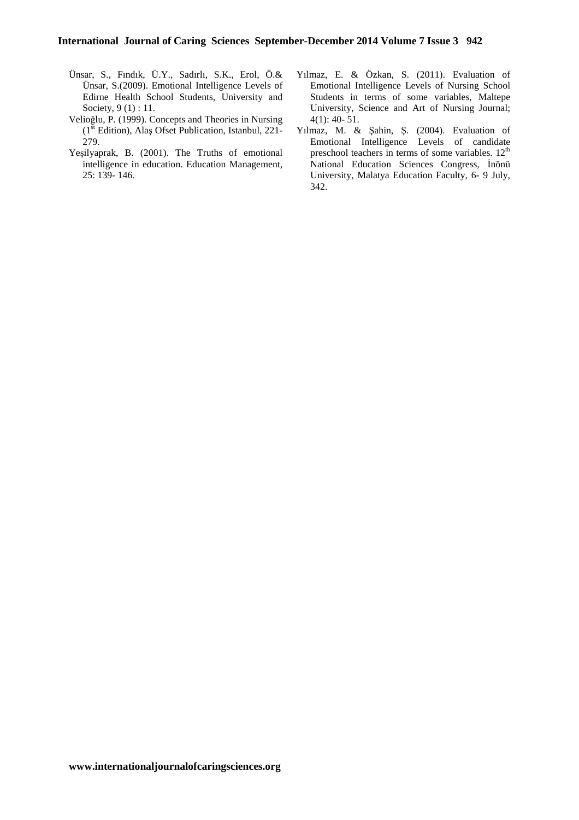- Ünsar, S., Fındık, Ü.Y., Sadırlı, S.K., Erol, Ö.& Ünsar, S.(2009). Emotional Intelligence Levels of Edirne Health School Students, University and Society, 9 (1) : 11.
- Velioğlu, P. (1999). Concepts and Theories in Nursing  $(1<sup>st</sup> Edition)$ , Alas Ofset Publication, Istanbul, 221-279.
- Yeşilyaprak, B. (2001). The Truths of emotional intelligence in education. Education Management, 25: 139- 146.
- Yılmaz, E. & Özkan, S. (2011). Evaluation of Emotional Intelligence Levels of Nursing School Students in terms of some variables, Maltepe University, Science and Art of Nursing Journal; 4(1): 40- 51.
- Yılmaz, M. & Şahin, Ş. (2004). Evaluation of Emotional Intelligence Levels of candidate preschool teachers in terms of some variables.  $12<sup>th</sup>$ National Education Sciences Congress, İnönü University, Malatya Education Faculty, 6- 9 July, 342.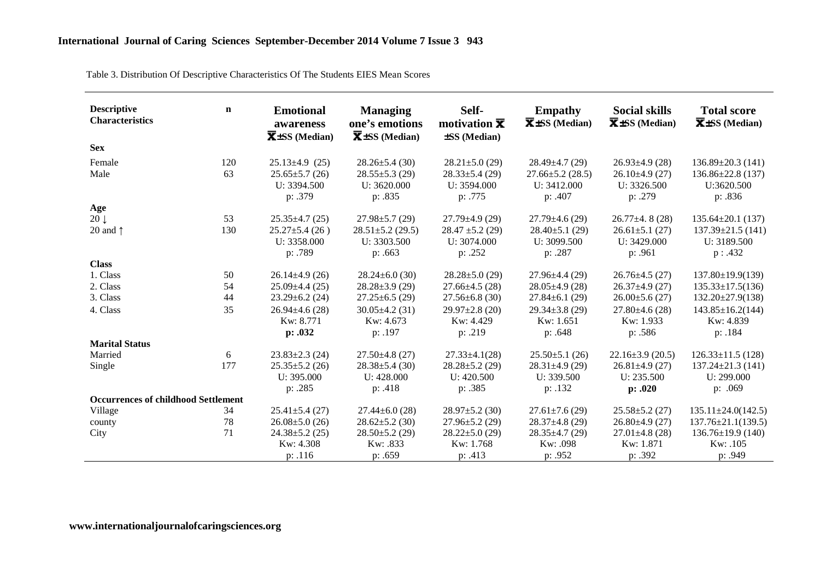| Table 3. Distribution Of Descriptive Characteristics Of The Students EIES Mean Scores |  |
|---------------------------------------------------------------------------------------|--|
|                                                                                       |  |

| <b>Descriptive</b><br><b>Characteristics</b> | $\mathbf n$ | <b>Emotional</b><br>awareness<br>$\overline{\mathbf{X}}$ ±SS (Median) | <b>Managing</b><br>one's emotions<br>$\overline{\mathbf{X}}$ ±SS (Median) | Self-<br>motivation $\overline{\mathbf{x}}$<br>±SS (Median) | <b>Empathy</b><br>$\overline{\mathbf{X}}$ ±SS (Median) | <b>Social skills</b><br>$\overline{\mathbf{X}}$ ±SS (Median) | <b>Total score</b><br>$\overline{\mathbf{X}}$ ±SS (Median) |
|----------------------------------------------|-------------|-----------------------------------------------------------------------|---------------------------------------------------------------------------|-------------------------------------------------------------|--------------------------------------------------------|--------------------------------------------------------------|------------------------------------------------------------|
| <b>Sex</b>                                   |             |                                                                       |                                                                           |                                                             |                                                        |                                                              |                                                            |
| Female                                       | 120         | $25.13 \pm 4.9$ (25)                                                  | $28.26 \pm 5.4$ (30)                                                      | $28.21 \pm 5.0$ (29)                                        | $28.49 \pm 4.7$ (29)                                   | $26.93 \pm 4.9$ (28)                                         | $136.89 \pm 20.3$ (141)                                    |
| Male                                         | 63          | $25.65 \pm 5.7$ (26)<br>U: 3394.500<br>p: .379                        | $28.55 \pm 5.3$ (29)<br>U: 3620.000<br>p: .835                            | $28.33 \pm 5.4$ (29)<br>U: 3594.000<br>p: .775              | $27.66 \pm 5.2$ (28.5)<br>U: 3412.000<br>p: .407       | $26.10\pm4.9(27)$<br>U: 3326.500<br>p: .279                  | $136.86 \pm 22.8$ (137)<br>U:3620.500<br>p: .836           |
| Age                                          |             |                                                                       |                                                                           |                                                             |                                                        |                                                              |                                                            |
| $20 \downarrow$                              | 53          | $25.35 \pm 4.7$ (25)                                                  | $27.98 \pm 5.7$ (29)                                                      | $27.79 \pm 4.9$ (29)                                        | $27.79 \pm 4.6$ (29)                                   | $26.77 \pm 4.8$ (28)                                         | $135.64 \pm 20.1$ (137)                                    |
| 20 and $\uparrow$                            | 130         | $25.27 \pm 5.4$ (26)<br>U: 3358.000                                   | $28.51 \pm 5.2$ (29.5)<br>U: 3303.500                                     | $28.47 \pm 5.2$ (29)<br>U: 3074.000                         | $28.40\pm5.1(29)$<br>U: $3099.500$                     | $26.61 \pm 5.1$ (27)<br>U: 3429.000                          | $137.39 \pm 21.5$ (141)<br>U: 3189.500                     |
|                                              |             | p: .789                                                               | p: .663                                                                   | p: .252                                                     | p: .287                                                | p: .961                                                      | p: .432                                                    |
| <b>Class</b>                                 |             |                                                                       |                                                                           |                                                             |                                                        |                                                              |                                                            |
| 1. Class                                     | 50          | $26.14 \pm 4.9$ (26)                                                  | $28.24 \pm 6.0$ (30)                                                      | $28.28 \pm 5.0$ (29)                                        | $27.96 \pm 4.4$ (29)                                   | $26.76 \pm 4.5$ (27)                                         | $137.80 \pm 19.9(139)$                                     |
| 2. Class                                     | 54          | $25.09 \pm 4.4$ (25)                                                  | $28.28 \pm 3.9$ (29)                                                      | $27.66 \pm 4.5$ (28)                                        | $28.05 \pm 4.9$ (28)                                   | $26.37 \pm 4.9$ (27)                                         | $135.33 \pm 17.5(136)$                                     |
| 3. Class                                     | 44          | $23.29 \pm 6.2$ (24)                                                  | $27.25 \pm 6.5$ (29)                                                      | $27.56 \pm 6.8$ (30)                                        | $27.84 \pm 6.1$ (29)                                   | $26.00\pm5.6(27)$                                            | $132.20 \pm 27.9(138)$                                     |
| 4. Class                                     | 35          | $26.94 \pm 4.6$ (28)                                                  | $30.05 \pm 4.2$ (31)                                                      | $29.97 \pm 2.8$ (20)                                        | $29.34 \pm 3.8$ (29)                                   | $27.80\pm4.6(28)$                                            | $143.85 \pm 16.2(144)$                                     |
|                                              |             | Kw: 8.771                                                             | Kw: 4.673                                                                 | Kw: 4.429                                                   | Kw: 1.651                                              | Kw: 1.933                                                    | Kw: 4.839                                                  |
|                                              |             | p: .032                                                               | p: .197                                                                   | p: .219                                                     | p: .648                                                | p: .586                                                      | p: .184                                                    |
| <b>Marital Status</b>                        |             |                                                                       |                                                                           |                                                             |                                                        |                                                              |                                                            |
| Married                                      | 6           | $23.83 \pm 2.3$ (24)                                                  | $27.50\pm4.8(27)$                                                         | $27.33 \pm 4.1(28)$                                         | $25.50 \pm 5.1$ (26)                                   | $22.16 \pm 3.9$ (20.5)                                       | $126.33 \pm 11.5$ (128)                                    |
| Single                                       | 177         | $25.35 \pm 5.2$ (26)                                                  | $28.38 \pm 5.4$ (30)                                                      | $28.28 \pm 5.2$ (29)                                        | $28.31 \pm 4.9$ (29)                                   | $26.81 \pm 4.9$ (27)                                         | $137.24 \pm 21.3$ (141)                                    |
|                                              |             | U: 395.000                                                            | U: 428.000                                                                | U: 420.500                                                  | U: 339.500                                             | U: 235.500                                                   | U: 299.000                                                 |
|                                              |             | p: .285                                                               | p: .418                                                                   | p: .385                                                     | p: .132                                                | p: .020                                                      | p: .069                                                    |
| <b>Occurrences of childhood Settlement</b>   |             |                                                                       |                                                                           |                                                             |                                                        |                                                              |                                                            |
| Village                                      | 34          | $25.41 \pm 5.4$ (27)                                                  | $27.44 \pm 6.0$ (28)                                                      | $28.97 \pm 5.2$ (30)                                        | $27.61 \pm 7.6$ (29)                                   | $25.58 \pm 5.2$ (27)                                         | $135.11 \pm 24.0(142.5)$                                   |
| county                                       | 78          | $26.08 \pm 5.0$ (26)                                                  | $28.62 \pm 5.2$ (30)                                                      | $27.96 \pm 5.2$ (29)                                        | $28.37 \pm 4.8$ (29)                                   | $26.80\pm4.9(27)$                                            | $137.76 \pm 21.1(139.5)$                                   |
| City                                         | 71          | $24.38 \pm 5.2$ (25)                                                  | $28.50 \pm 5.2$ (29)                                                      | $28.22 \pm 5.0$ (29)                                        | $28.35 \pm 4.7$ (29)                                   | $27.01 \pm 4.8$ (28)                                         | $136.76 \pm 19.9$ (140)                                    |
|                                              |             | Kw: 4.308                                                             | Kw: .833                                                                  | Kw: 1.768                                                   | Kw: .098                                               | Kw: 1.871                                                    | Kw: .105                                                   |
|                                              |             | p: .116                                                               | p: .659                                                                   | p: .413                                                     | p: .952                                                | p: .392                                                      | p: .949                                                    |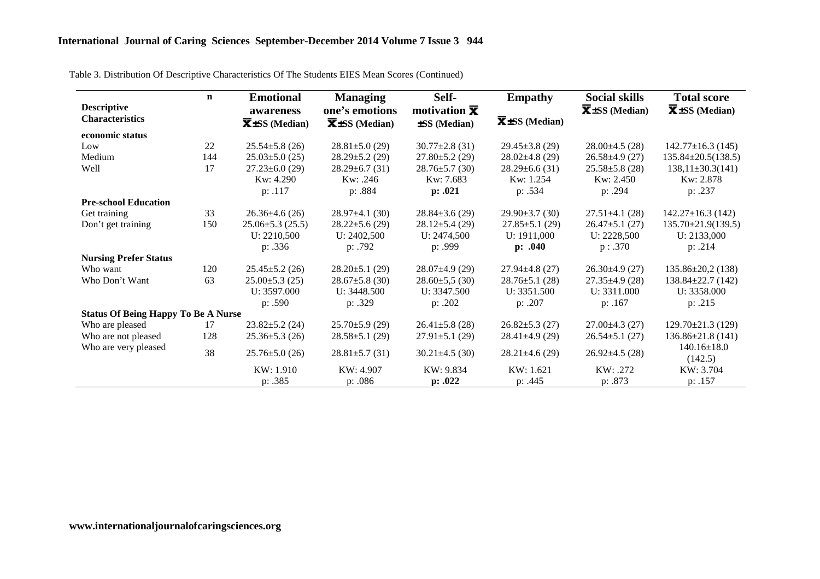| <b>Descriptive</b><br><b>Characteristics</b> | $\mathbf n$ | <b>Emotional</b><br>awareness<br>$\overline{\mathbf{X}}$ ±SS (Median) | <b>Managing</b><br>one's emotions<br>$\overline{\mathbf{X}}$ ±SS (Median) | Self-<br>motivation $\bar{x}$<br>±SS (Median) | <b>Empathy</b><br>$\overline{\mathbf{X}}$ ±SS (Median) | <b>Social skills</b><br>$\overline{\mathbf{X}}$ + SS (Median) | <b>Total score</b><br>$\overline{\mathbf{X}}$ + SS (Median) |
|----------------------------------------------|-------------|-----------------------------------------------------------------------|---------------------------------------------------------------------------|-----------------------------------------------|--------------------------------------------------------|---------------------------------------------------------------|-------------------------------------------------------------|
| economic status                              |             |                                                                       |                                                                           |                                               |                                                        |                                                               |                                                             |
| Low                                          | 22          | $25.54 \pm 5.8$ (26)                                                  | $28.81 \pm 5.0$ (29)                                                      | $30.77 \pm 2.8$ (31)                          | $29.45 \pm 3.8$ (29)                                   | $28.00\pm4.5(28)$                                             | $142.77 \pm 16.3$ (145)                                     |
| Medium                                       | 144         | $25.03 \pm 5.0$ (25)                                                  | $28.29 \pm 5.2$ (29)                                                      | $27.80 \pm 5.2$ (29)                          | $28.02 \pm 4.8$ (29)                                   | $26.58 \pm 4.9$ (27)                                          | $135.84 \pm 20.5(138.5)$                                    |
| Well                                         | 17          | $27.23 \pm 6.0$ (29)                                                  | $28.29 \pm 6.7$ (31)                                                      | $28.76 \pm 5.7$ (30)                          | $28.29 \pm 6.6$ (31)                                   | $25.58 \pm 5.8$ (28)                                          | $138,11\pm30.3(141)$                                        |
|                                              |             | Kw: 4.290                                                             | Kw: .246                                                                  | Kw: 7.683                                     | Kw: 1.254                                              | Kw: 2.450                                                     | Kw: 2.878                                                   |
|                                              |             | p: .117                                                               | p: .884                                                                   | p: .021                                       | p: .534                                                | p: .294                                                       | p: .237                                                     |
| <b>Pre-school Education</b>                  |             |                                                                       |                                                                           |                                               |                                                        |                                                               |                                                             |
| Get training                                 | 33          | $26.36 \pm 4.6$ (26)                                                  | $28.97 \pm 4.1$ (30)                                                      | $28.84 \pm 3.6$ (29)                          | $29.90 \pm 3.7$ (30)                                   | $27.51 \pm 4.1$ (28)                                          | $142.27 \pm 16.3$ (142)                                     |
| Don't get training                           | 150         | $25.06 \pm 5.3$ (25.5)                                                | $28.22 \pm 5.6$ (29)                                                      | $28.12 \pm 5.4$ (29)                          | $27.85 \pm 5.1$ (29)                                   | $26.47 \pm 5.1$ (27)                                          | $135.70 \pm 21.9(139.5)$                                    |
|                                              |             | U: 2210,500                                                           | U: 2402,500                                                               | U: 2474,500                                   | U: 1911,000                                            | U: 2228,500                                                   | U: 2133,000                                                 |
|                                              |             | p: .336                                                               | p: .792                                                                   | p: .999                                       | p: .040                                                | p : .370                                                      | p: .214                                                     |
| <b>Nursing Prefer Status</b>                 |             |                                                                       |                                                                           |                                               |                                                        |                                                               |                                                             |
| Who want                                     | 120         | $25.45 \pm 5.2$ (26)                                                  | $28.20 \pm 5.1$ (29)                                                      | $28.07\pm4.9(29)$                             | $27.94 \pm 4.8$ (27)                                   | $26.30\pm4.9(27)$                                             | $135.86 \pm 20.2$ (138)                                     |
| Who Don't Want                               | 63          | $25.00 \pm 5.3$ (25)                                                  | $28.67 \pm 5.8$ (30)                                                      | $28.60 \pm 5.5$ (30)                          | $28.76 \pm 5.1$ (28)                                   | $27.35 \pm 4.9$ (28)                                          | $138.84 \pm 22.7$ (142)                                     |
|                                              |             | U: 3597.000                                                           | U: $3448.500$                                                             | U: $3347.500$                                 | U: $3351.500$                                          | U: 3311.000                                                   | U: 3358.000                                                 |
|                                              |             | p: .590                                                               | p: .329                                                                   | p: .202                                       | p: .207                                                | p: .167                                                       | p: .215                                                     |
| <b>Status Of Being Happy To Be A Nurse</b>   |             |                                                                       |                                                                           |                                               |                                                        |                                                               |                                                             |
| Who are pleased                              | 17          | $23.82 \pm 5.2$ (24)                                                  | $25.70 \pm 5.9$ (29)                                                      | $26.41 \pm 5.8$ (28)                          | $26.82 \pm 5.3$ (27)                                   | $27.00\pm4.3(27)$                                             | $129.70 \pm 21.3$ (129)                                     |
| Who are not pleased                          | 128         | $25.36 \pm 5.3$ (26)                                                  | $28.58 \pm 5.1$ (29)                                                      | $27.91 \pm 5.1$ (29)                          | $28.41 \pm 4.9$ (29)                                   | $26.54 \pm 5.1$ (27)                                          | $136.86 \pm 21.8$ (141)                                     |
| Who are very pleased                         | 38          | $25.76 \pm 5.0$ (26)                                                  | $28.81 \pm 5.7$ (31)                                                      | $30.21 \pm 4.5$ (30)                          | $28.21 \pm 4.6$ (29)                                   | $26.92 \pm 4.5$ (28)                                          | $140.16 \pm 18.0$<br>(142.5)                                |
|                                              |             | KW: 1.910                                                             | KW: 4.907                                                                 | KW: 9.834                                     | KW: 1.621                                              | KW: .272                                                      | KW: 3.704                                                   |
|                                              |             | p: .385                                                               | p: .086                                                                   | p: .022                                       | p: .445                                                | p: .873                                                       | p: .157                                                     |

Table 3. Distribution Of Descriptive Characteristics Of The Students EIES Mean Scores (Continued)